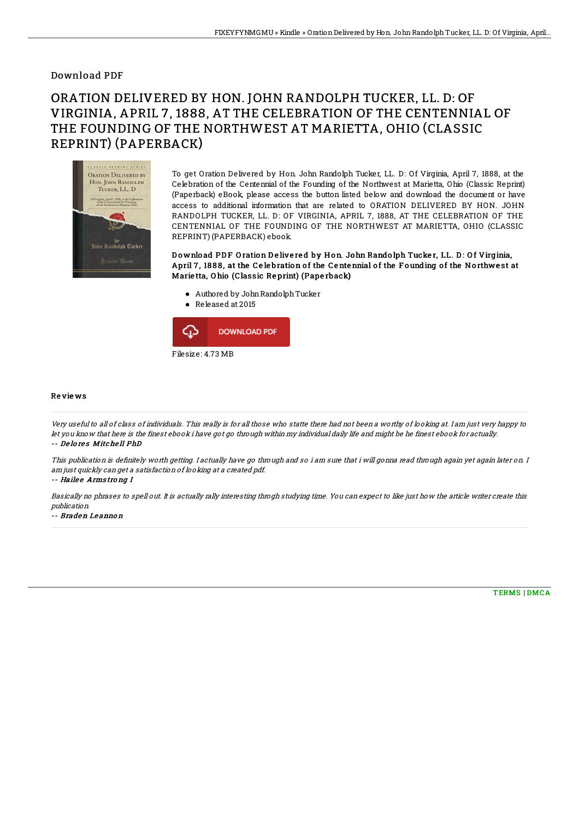## Download PDF

## ORATION DELIVERED BY HON. JOHN RANDOLPH TUCKER, LL. D: OF VIRGINIA, APRIL 7, 1888, AT THE CELEBRATION OF THE CENTENNIAL OF THE FOUNDING OF THE NORTHWEST AT MARIETTA, OHIO (CLASSIC REPRINT) (PAPERBACK)



To get Oration Delivered by Hon. John Randolph Tucker, LL. D: Of Virginia, April 7, 1888, at the Celebration of the Centennial of the Founding of the Northwest at Marietta, Ohio (Classic Reprint) (Paperback) eBook, please access the button listed below and download the document or have access to additional information that are related to ORATION DELIVERED BY HON. JOHN RANDOLPH TUCKER, LL. D: OF VIRGINIA, APRIL 7, 1888, AT THE CELEBRATION OF THE CENTENNIAL OF THE FOUNDING OF THE NORTHWEST AT MARIETTA, OHIO (CLASSIC REPRINT) (PAPERBACK) ebook.

Download PDF Oration Delivered by Hon. John Randolph Tucker, LL. D: Of Virginia, April 7, 1888, at the Celebration of the Centennial of the Founding of the Northwest at Marie tta, O hio (Classic Re print) (Pape rback)

- Authored by JohnRandolphTucker
- Released at 2015



## Re vie ws

Very useful to all of class of individuals. This really is for all those who statte there had not been <sup>a</sup> worthy of looking at. I am just very happy to let you know that here is the finest ebook i have got go through within my individual daily life and might be he finest ebook for actually. -- De lo re s Mitche ll PhD

This publication is definitely worth getting. I actually have go through and so i am sure that i will gonna read through again yet again later on. I am just quickly can get <sup>a</sup> satisfaction of looking at <sup>a</sup> created pdf.

-- Hailee Armstrong I

Basically no phrases to spell out. It is actually rally interesting throgh studying time. You can expect to like just how the article writer create this publication.

-- Braden Le anno <sup>n</sup>